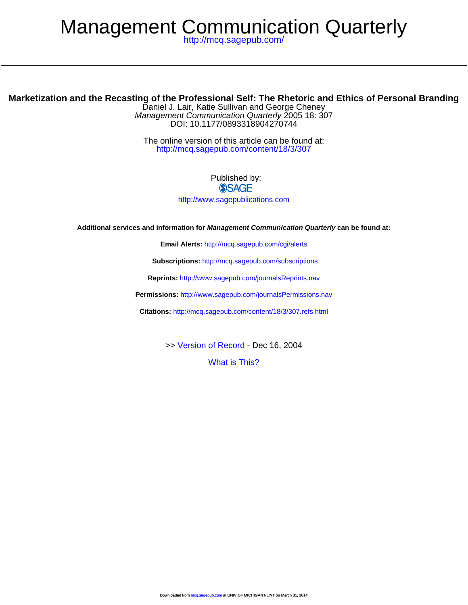# Management Communication Quarterly

<http://mcq.sagepub.com/>

# **Marketization and the Recasting of the Professional Self: The Rhetoric and Ethics of Personal Branding**

DOI: 10.1177/0893318904270744 Management Communication Quarterly 2005 18: 307 Daniel J. Lair, Katie Sullivan and George Cheney

<http://mcq.sagepub.com/content/18/3/307> The online version of this article can be found at:

#### Published by: **SSAGE**

<http://www.sagepublications.com>

**Additional services and information for Management Communication Quarterly can be found at:**

**Email Alerts:** <http://mcq.sagepub.com/cgi/alerts>

**Subscriptions:** <http://mcq.sagepub.com/subscriptions>

**Reprints:** <http://www.sagepub.com/journalsReprints.nav>

**Permissions:** <http://www.sagepub.com/journalsPermissions.nav>

**Citations:** <http://mcq.sagepub.com/content/18/3/307.refs.html>

>> [Version of Record -](http://mcq.sagepub.com/content/18/3/307.full.pdf) Dec 16, 2004

[What is This?](http://online.sagepub.com/site/sphelp/vorhelp.xhtml)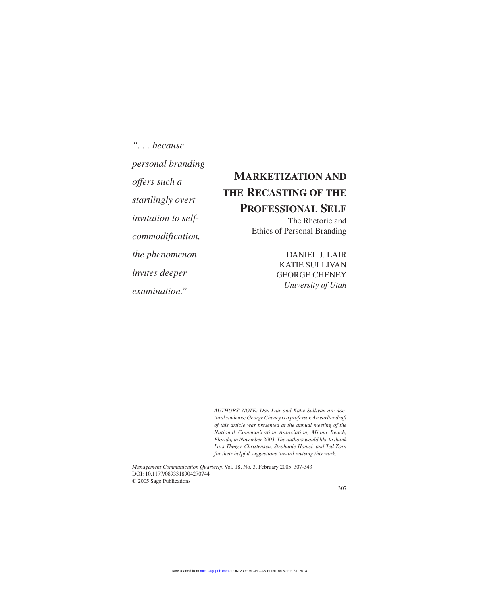*". . . because personal branding offers such a startlingly overt invitation to selfcommodification, the phenomenon invites deeper examination."*

# **MARKETIZATION AND THE RECASTING OF THE PROFESSIONAL SELF**

The Rhetoric and Ethics of Personal Branding

> DANIEL J. LAIR KATIE SULLIVAN GEORGE CHENEY *University of Utah*

*AUTHORS' NOTE: Dan Lair and Katie Sullivan are doctoral students; George Cheney is a professor. An earlier draft of this article was presented at the annual meeting of the National Communication Association, Miami Beach, Florida, in November 2003. The authors would like to thank Lars Thøger Christensen, Stephanie Hamel, and Ted Zorn for their helpful suggestions toward revising this work.*

*Management Communication Quarterly,* Vol. 18, No. 3, February 2005 307-343 DOI: 10.1177/0893318904270744 © 2005 Sage Publications

307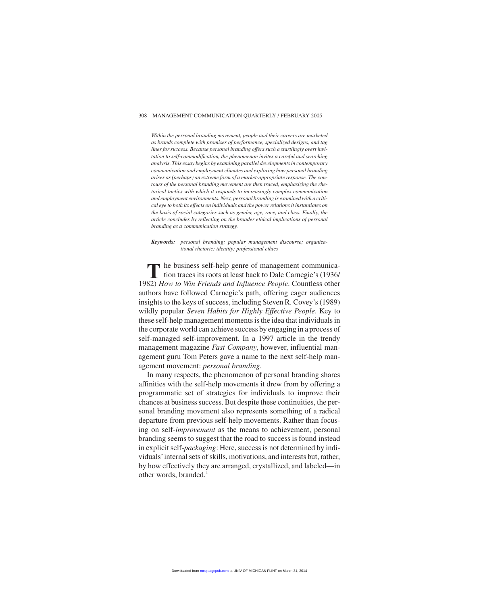#### 308 MANAGEMENT COMMUNICATION QUARTERLY / FEBRUARY 2005

*Within the personal branding movement, people and their careers are marketed as brands complete with promises of performance, specialized designs, and tag lines for success. Because personal branding offers such a startlingly overt invitation to self-commodification, the phenomenon invites a careful and searching analysis. This essay begins by examining parallel developments in contemporary communication and employment climates and exploring how personal branding arises as (perhaps) an extreme form of a market-appropriate response. The contours of the personal branding movement are then traced, emphasizing the rhetorical tactics with which it responds to increasingly complex communication and employment environments. Next, personal branding is examined with a critical eye to both its effects on individuals and the power relations it instantiates on the basis of social categories such as gender, age, race, and class. Finally, the article concludes by reflecting on the broader ethical implications of personal branding as a communication strategy.*

*Keywords: personal branding; popular management discourse; organizational rhetoric; identity; professional ethics*

**T**he business self-help genre of management communication traces its roots at least back to Dale Carnegie's (1936/ 1982) *How to Win Friends and Influence People*. Countless other authors have followed Carnegie's path, offering eager audiences insights to the keys of success, including Steven R. Covey's (1989) wildly popular *Seven Habits for Highly Effective People*. Key to these self-help management moments is the idea that individuals in the corporate world can achieve success by engaging in a process of self-managed self-improvement. In a 1997 article in the trendy management magazine *Fast Company*, however, influential management guru Tom Peters gave a name to the next self-help management movement: *personal branding*.

In many respects, the phenomenon of personal branding shares affinities with the self-help movements it drew from by offering a programmatic set of strategies for individuals to improve their chances at business success. But despite these continuities, the personal branding movement also represents something of a radical departure from previous self-help movements. Rather than focusing on self-*improvement* as the means to achievement, personal branding seems to suggest that the road to success is found instead in explicit self-*packaging*: Here, success is not determined by individuals'internal sets of skills, motivations, and interests but, rather, by how effectively they are arranged, crystallized, and labeled—in other words, branded.<sup>1</sup>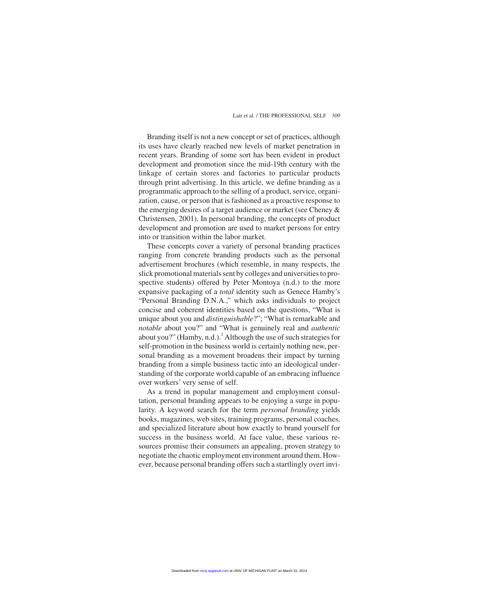Branding itself is not a new concept or set of practices, although its uses have clearly reached new levels of market penetration in recent years. Branding of some sort has been evident in product development and promotion since the mid-19th century with the linkage of certain stores and factories to particular products through print advertising. In this article, we define branding as a programmatic approach to the selling of a product, service, organization, cause, or person that is fashioned as a proactive response to the emerging desires of a target audience or market (see Cheney & Christensen, 2001). In personal branding, the concepts of product development and promotion are used to market persons for entry into or transition within the labor market.

These concepts cover a variety of personal branding practices ranging from concrete branding products such as the personal advertisement brochures (which resemble, in many respects, the slick promotional materials sent by colleges and universities to prospective students) offered by Peter Montoya (n.d.) to the more expansive packaging of a *total* identity such as Genece Hamby's "Personal Branding D.N.A.," which asks individuals to project concise and coherent identities based on the questions, "What is unique about you and *distinguishable*?"; "What is remarkable and *notable* about you?" and "What is genuinely real and *authentic* about you?" (Hamby, n.d.).<sup>2</sup> Although the use of such strategies for self-promotion in the business world is certainly nothing new, personal branding as a movement broadens their impact by turning branding from a simple business tactic into an ideological understanding of the corporate world capable of an embracing influence over workers' very sense of self.

As a trend in popular management and employment consultation, personal branding appears to be enjoying a surge in popularity. A keyword search for the term *personal branding* yields books, magazines, web sites, training programs, personal coaches, and specialized literature about how exactly to brand yourself for success in the business world. At face value, these various resources promise their consumers an appealing, proven strategy to negotiate the chaotic employment environment around them. However, because personal branding offers such a startlingly overt invi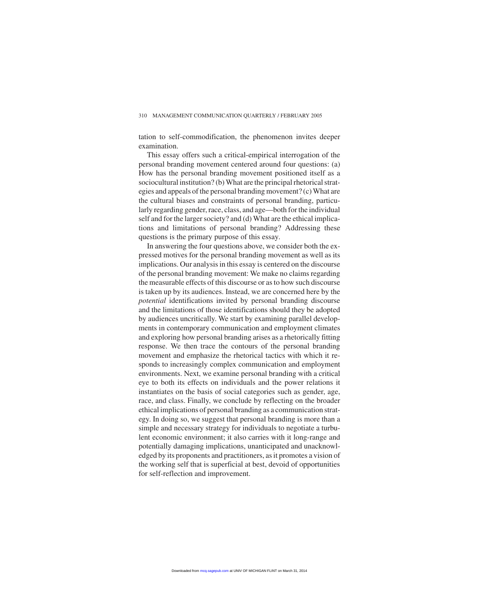tation to self-commodification, the phenomenon invites deeper examination.

This essay offers such a critical-empirical interrogation of the personal branding movement centered around four questions: (a) How has the personal branding movement positioned itself as a sociocultural institution? (b) What are the principal rhetorical strategies and appeals of the personal branding movement? (c) What are the cultural biases and constraints of personal branding, particularly regarding gender, race, class, and age—both for the individual self and for the larger society? and (d) What are the ethical implications and limitations of personal branding? Addressing these questions is the primary purpose of this essay.

In answering the four questions above, we consider both the expressed motives for the personal branding movement as well as its implications. Our analysis in this essay is centered on the discourse of the personal branding movement: We make no claims regarding the measurable effects of this discourse or as to how such discourse is taken up by its audiences. Instead, we are concerned here by the *potential* identifications invited by personal branding discourse and the limitations of those identifications should they be adopted by audiences uncritically. We start by examining parallel developments in contemporary communication and employment climates and exploring how personal branding arises as a rhetorically fitting response. We then trace the contours of the personal branding movement and emphasize the rhetorical tactics with which it responds to increasingly complex communication and employment environments. Next, we examine personal branding with a critical eye to both its effects on individuals and the power relations it instantiates on the basis of social categories such as gender, age, race, and class. Finally, we conclude by reflecting on the broader ethical implications of personal branding as a communication strategy. In doing so, we suggest that personal branding is more than a simple and necessary strategy for individuals to negotiate a turbulent economic environment; it also carries with it long-range and potentially damaging implications, unanticipated and unacknowledged by its proponents and practitioners, as it promotes a vision of the working self that is superficial at best, devoid of opportunities for self-reflection and improvement.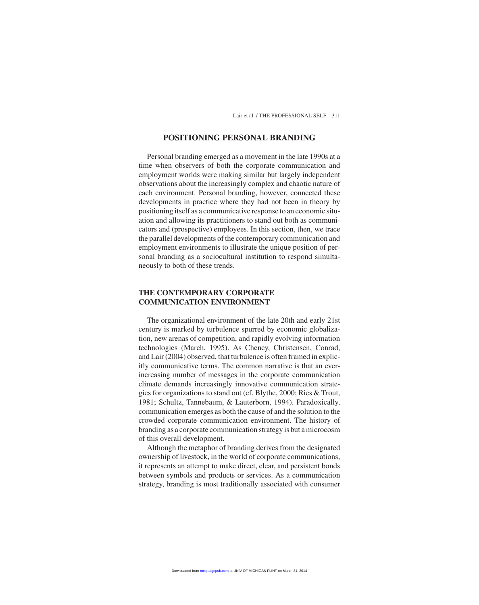#### **POSITIONING PERSONAL BRANDING**

Personal branding emerged as a movement in the late 1990s at a time when observers of both the corporate communication and employment worlds were making similar but largely independent observations about the increasingly complex and chaotic nature of each environment. Personal branding, however, connected these developments in practice where they had not been in theory by positioning itself as a communicative response to an economic situation and allowing its practitioners to stand out both as communicators and (prospective) employees. In this section, then, we trace the parallel developments of the contemporary communication and employment environments to illustrate the unique position of personal branding as a sociocultural institution to respond simultaneously to both of these trends.

#### **THE CONTEMPORARY CORPORATE COMMUNICATION ENVIRONMENT**

The organizational environment of the late 20th and early 21st century is marked by turbulence spurred by economic globalization, new arenas of competition, and rapidly evolving information technologies (March, 1995). As Cheney, Christensen, Conrad, and Lair (2004) observed, that turbulence is often framed in explicitly communicative terms. The common narrative is that an everincreasing number of messages in the corporate communication climate demands increasingly innovative communication strategies for organizations to stand out (cf. Blythe, 2000; Ries & Trout, 1981; Schultz, Tannebaum, & Lauterborn, 1994). Paradoxically, communication emerges as both the cause of and the solution to the crowded corporate communication environment. The history of branding as a corporate communication strategy is but a microcosm of this overall development.

Although the metaphor of branding derives from the designated ownership of livestock, in the world of corporate communications, it represents an attempt to make direct, clear, and persistent bonds between symbols and products or services. As a communication strategy, branding is most traditionally associated with consumer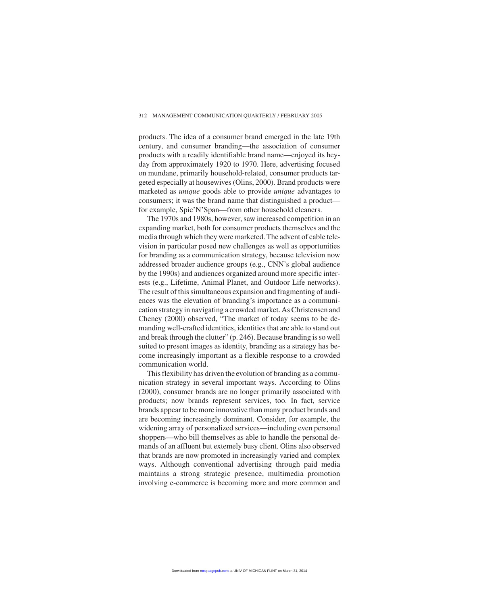#### 312 MANAGEMENT COMMUNICATION QUARTERLY / FEBRUARY 2005

products. The idea of a consumer brand emerged in the late 19th century, and consumer branding—the association of consumer products with a readily identifiable brand name—enjoyed its heyday from approximately 1920 to 1970. Here, advertising focused on mundane, primarily household-related, consumer products targeted especially at housewives (Olins, 2000). Brand products were marketed as *unique* goods able to provide *unique* advantages to consumers; it was the brand name that distinguished a product for example, Spic'N'Span—from other household cleaners.

The 1970s and 1980s, however, saw increased competition in an expanding market, both for consumer products themselves and the media through which they were marketed. The advent of cable television in particular posed new challenges as well as opportunities for branding as a communication strategy, because television now addressed broader audience groups (e.g., CNN's global audience by the 1990s) and audiences organized around more specific interests (e.g., Lifetime, Animal Planet, and Outdoor Life networks). The result of this simultaneous expansion and fragmenting of audiences was the elevation of branding's importance as a communication strategy in navigating a crowded market. As Christensen and Cheney (2000) observed, "The market of today seems to be demanding well-crafted identities, identities that are able to stand out and break through the clutter" (p. 246). Because branding is so well suited to present images as identity, branding as a strategy has become increasingly important as a flexible response to a crowded communication world.

This flexibility has driven the evolution of branding as a communication strategy in several important ways. According to Olins (2000), consumer brands are no longer primarily associated with products; now brands represent services, too. In fact, service brands appear to be more innovative than many product brands and are becoming increasingly dominant. Consider, for example, the widening array of personalized services—including even personal shoppers—who bill themselves as able to handle the personal demands of an affluent but extemely busy client. Olins also observed that brands are now promoted in increasingly varied and complex ways. Although conventional advertising through paid media maintains a strong strategic presence, multimedia promotion involving e-commerce is becoming more and more common and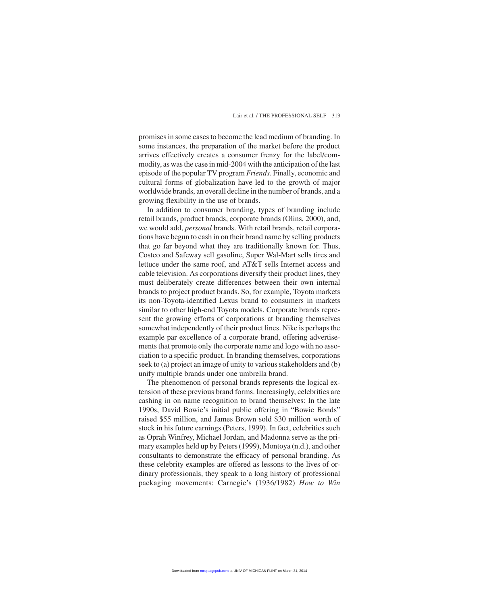promises in some cases to become the lead medium of branding. In some instances, the preparation of the market before the product arrives effectively creates a consumer frenzy for the label/commodity, as was the case in mid-2004 with the anticipation of the last episode of the popular TV program *Friends*. Finally, economic and cultural forms of globalization have led to the growth of major worldwide brands, an overall decline in the number of brands, and a growing flexibility in the use of brands.

In addition to consumer branding, types of branding include retail brands, product brands, corporate brands (Olins, 2000), and, we would add, *personal* brands. With retail brands, retail corporations have begun to cash in on their brand name by selling products that go far beyond what they are traditionally known for. Thus, Costco and Safeway sell gasoline, Super Wal-Mart sells tires and lettuce under the same roof, and AT&T sells Internet access and cable television. As corporations diversify their product lines, they must deliberately create differences between their own internal brands to project product brands. So, for example, Toyota markets its non-Toyota-identified Lexus brand to consumers in markets similar to other high-end Toyota models. Corporate brands represent the growing efforts of corporations at branding themselves somewhat independently of their product lines. Nike is perhaps the example par excellence of a corporate brand, offering advertisements that promote only the corporate name and logo with no association to a specific product. In branding themselves, corporations seek to (a) project an image of unity to various stakeholders and (b) unify multiple brands under one umbrella brand.

The phenomenon of personal brands represents the logical extension of these previous brand forms. Increasingly, celebrities are cashing in on name recognition to brand themselves: In the late 1990s, David Bowie's initial public offering in "Bowie Bonds" raised \$55 million, and James Brown sold \$30 million worth of stock in his future earnings (Peters, 1999). In fact, celebrities such as Oprah Winfrey, Michael Jordan, and Madonna serve as the primary examples held up by Peters (1999), Montoya (n.d.), and other consultants to demonstrate the efficacy of personal branding. As these celebrity examples are offered as lessons to the lives of ordinary professionals, they speak to a long history of professional packaging movements: Carnegie's (1936/1982) *How to Win*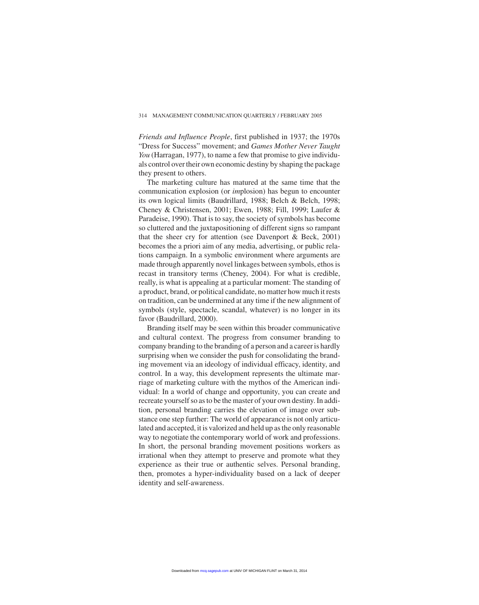*Friends and Influence People*, first published in 1937; the 1970s "Dress for Success" movement; and *Games Mother Never Taught You* (Harragan, 1977), to name a few that promise to give individuals control over their own economic destiny by shaping the package they present to others.

The marketing culture has matured at the same time that the communication explosion (or *im*plosion) has begun to encounter its own logical limits (Baudrillard, 1988; Belch & Belch, 1998; Cheney & Christensen, 2001; Ewen, 1988; Fill, 1999; Laufer & Paradeise, 1990). That is to say, the society of symbols has become so cluttered and the juxtapositioning of different signs so rampant that the sheer cry for attention (see Davenport & Beck, 2001) becomes the a priori aim of any media, advertising, or public relations campaign. In a symbolic environment where arguments are made through apparently novel linkages between symbols, ethos is recast in transitory terms (Cheney, 2004). For what is credible, really, is what is appealing at a particular moment: The standing of a product, brand, or political candidate, no matter how much it rests on tradition, can be undermined at any time if the new alignment of symbols (style, spectacle, scandal, whatever) is no longer in its favor (Baudrillard, 2000).

Branding itself may be seen within this broader communicative and cultural context. The progress from consumer branding to company branding to the branding of a person and a career is hardly surprising when we consider the push for consolidating the branding movement via an ideology of individual efficacy, identity, and control. In a way, this development represents the ultimate marriage of marketing culture with the mythos of the American individual: In a world of change and opportunity, you can create and recreate yourself so as to be the master of your own destiny. In addition, personal branding carries the elevation of image over substance one step further: The world of appearance is not only articulated and accepted, it is valorized and held up as the only reasonable way to negotiate the contemporary world of work and professions. In short, the personal branding movement positions workers as irrational when they attempt to preserve and promote what they experience as their true or authentic selves. Personal branding, then, promotes a hyper-individuality based on a lack of deeper identity and self-awareness.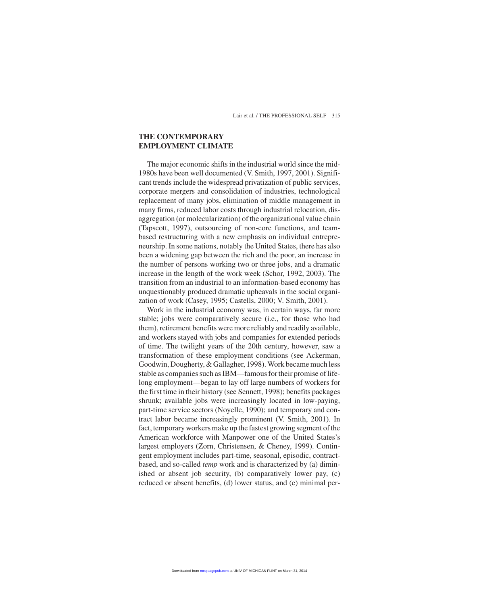#### **THE CONTEMPORARY EMPLOYMENT CLIMATE**

The major economic shifts in the industrial world since the mid-1980s have been well documented (V. Smith, 1997, 2001). Significant trends include the widespread privatization of public services, corporate mergers and consolidation of industries, technological replacement of many jobs, elimination of middle management in many firms, reduced labor costs through industrial relocation, disaggregation (or molecularization) of the organizational value chain (Tapscott, 1997), outsourcing of non-core functions, and teambased restructuring with a new emphasis on individual entrepreneurship. In some nations, notably the United States, there has also been a widening gap between the rich and the poor, an increase in the number of persons working two or three jobs, and a dramatic increase in the length of the work week (Schor, 1992, 2003). The transition from an industrial to an information-based economy has unquestionably produced dramatic upheavals in the social organization of work (Casey, 1995; Castells, 2000; V. Smith, 2001).

Work in the industrial economy was, in certain ways, far more stable; jobs were comparatively secure (i.e., for those who had them), retirement benefits were more reliably and readily available, and workers stayed with jobs and companies for extended periods of time. The twilight years of the 20th century, however, saw a transformation of these employment conditions (see Ackerman, Goodwin, Dougherty, & Gallagher, 1998). Work became much less stable as companies such as IBM—famous for their promise of lifelong employment—began to lay off large numbers of workers for the first time in their history (see Sennett, 1998); benefits packages shrunk; available jobs were increasingly located in low-paying, part-time service sectors (Noyelle, 1990); and temporary and contract labor became increasingly prominent (V. Smith, 2001). In fact, temporary workers make up the fastest growing segment of the American workforce with Manpower one of the United States's largest employers (Zorn, Christensen, & Cheney, 1999). Contingent employment includes part-time, seasonal, episodic, contractbased, and so-called *temp* work and is characterized by (a) diminished or absent job security, (b) comparatively lower pay, (c) reduced or absent benefits, (d) lower status, and (e) minimal per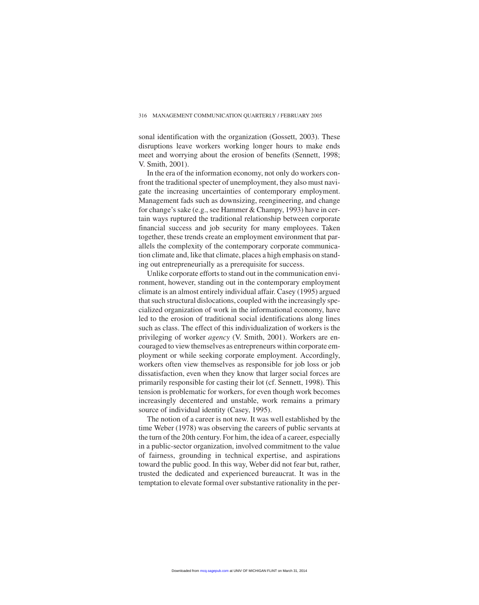sonal identification with the organization (Gossett, 2003). These disruptions leave workers working longer hours to make ends meet and worrying about the erosion of benefits (Sennett, 1998; V. Smith, 2001).

In the era of the information economy, not only do workers confront the traditional specter of unemployment, they also must navigate the increasing uncertainties of contemporary employment. Management fads such as downsizing, reengineering, and change for change's sake (e.g., see Hammer & Champy, 1993) have in certain ways ruptured the traditional relationship between corporate financial success and job security for many employees. Taken together, these trends create an employment environment that parallels the complexity of the contemporary corporate communication climate and, like that climate, places a high emphasis on standing out entrepreneurially as a prerequisite for success.

Unlike corporate efforts to stand out in the communication environment, however, standing out in the contemporary employment climate is an almost entirely individual affair. Casey (1995) argued that such structural dislocations, coupled with the increasingly specialized organization of work in the informational economy, have led to the erosion of traditional social identifications along lines such as class. The effect of this individualization of workers is the privileging of worker *agency* (V. Smith, 2001). Workers are encouraged to view themselves as entrepreneurs within corporate employment or while seeking corporate employment. Accordingly, workers often view themselves as responsible for job loss or job dissatisfaction, even when they know that larger social forces are primarily responsible for casting their lot (cf. Sennett, 1998). This tension is problematic for workers, for even though work becomes increasingly decentered and unstable, work remains a primary source of individual identity (Casey, 1995).

The notion of a career is not new. It was well established by the time Weber (1978) was observing the careers of public servants at the turn of the 20th century. For him, the idea of a career, especially in a public-sector organization, involved commitment to the value of fairness, grounding in technical expertise, and aspirations toward the public good. In this way, Weber did not fear but, rather, trusted the dedicated and experienced bureaucrat. It was in the temptation to elevate formal over substantive rationality in the per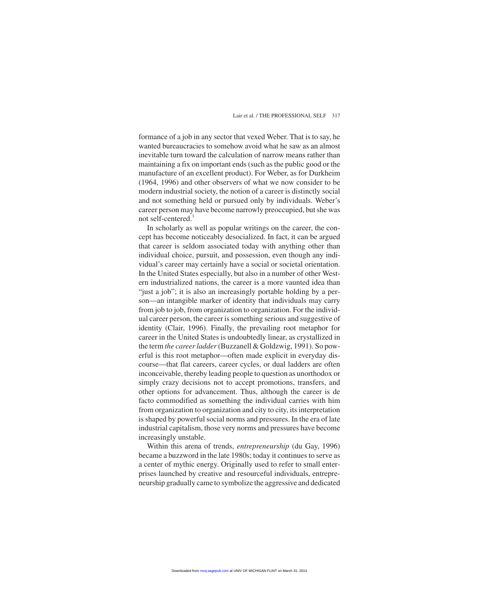formance of a job in any sector that vexed Weber. That is to say, he wanted bureaucracies to somehow avoid what he saw as an almost inevitable turn toward the calculation of narrow means rather than maintaining a fix on important ends (such as the public good or the manufacture of an excellent product). For Weber, as for Durkheim (1964, 1996) and other observers of what we now consider to be modern industrial society, the notion of a career is distinctly social and not something held or pursued only by individuals. Weber's career person may have become narrowly preoccupied, but she was not self-centered.<sup>3</sup>

In scholarly as well as popular writings on the career, the concept has become noticeably desocialized. In fact, it can be argued that career is seldom associated today with anything other than individual choice, pursuit, and possession, even though any individual's career may certainly have a social or societal orientation. In the United States especially, but also in a number of other Western industrialized nations, the career is a more vaunted idea than "just a job"; it is also an increasingly portable holding by a person—an intangible marker of identity that individuals may carry from job to job, from organization to organization. For the individual career person, the career is something serious and suggestive of identity (Clair, 1996). Finally, the prevailing root metaphor for career in the United States is undoubtedly linear, as crystallized in the term *the career ladder*(Buzzanell & Goldzwig, 1991). So powerful is this root metaphor—often made explicit in everyday discourse—that flat careers, career cycles, or dual ladders are often inconceivable, thereby leading people to question as unorthodox or simply crazy decisions not to accept promotions, transfers, and other options for advancement. Thus, although the career is de facto commodified as something the individual carries with him from organization to organization and city to city, its interpretation is shaped by powerful social norms and pressures. In the era of late industrial capitalism, those very norms and pressures have become increasingly unstable.

Within this arena of trends, *entrepreneurship* (du Gay, 1996) became a buzzword in the late 1980s; today it continues to serve as a center of mythic energy. Originally used to refer to small enterprises launched by creative and resourceful individuals, entrepreneurship gradually came to symbolize the aggressive and dedicated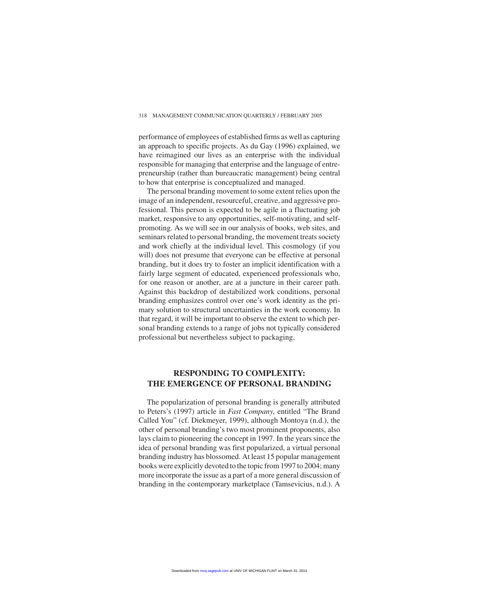performance of employees of established firms as well as capturing an approach to specific projects. As du Gay (1996) explained, we have reimagined our lives as an enterprise with the individual responsible for managing that enterprise and the language of entrepreneurship (rather than bureaucratic management) being central to how that enterprise is conceptualized and managed.

The personal branding movement to some extent relies upon the image of an independent, resourceful, creative, and aggressive professional. This person is expected to be agile in a fluctuating job market, responsive to any opportunities, self-motivating, and selfpromoting. As we will see in our analysis of books, web sites, and seminars related to personal branding, the movement treats society and work chiefly at the individual level. This cosmology (if you will) does not presume that everyone can be effective at personal branding, but it does try to foster an implicit identification with a fairly large segment of educated, experienced professionals who, for one reason or another, are at a juncture in their career path. Against this backdrop of destabilized work conditions, personal branding emphasizes control over one's work identity as the primary solution to structural uncertainties in the work economy. In that regard, it will be important to observe the extent to which personal branding extends to a range of jobs not typically considered professional but nevertheless subject to packaging.

## **RESPONDING TO COMPLEXITY: THE EMERGENCE OF PERSONAL BRANDING**

The popularization of personal branding is generally attributed to Peters's (1997) article in *Fast Company*, entitled "The Brand Called You" (cf. Diekmeyer, 1999), although Montoya (n.d.), the other of personal branding's two most prominent proponents, also lays claim to pioneering the concept in 1997. In the years since the idea of personal branding was first popularized, a virtual personal branding industry has blossomed. At least 15 popular management books were explicitly devoted to the topic from 1997 to 2004; many more incorporate the issue as a part of a more general discussion of branding in the contemporary marketplace (Tamsevicius, n.d.). A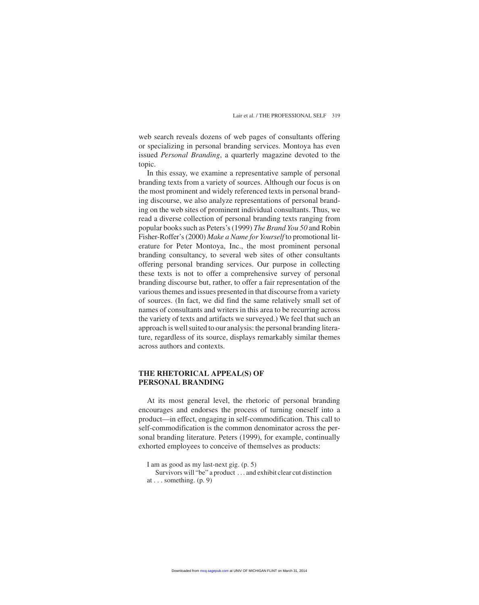web search reveals dozens of web pages of consultants offering or specializing in personal branding services. Montoya has even issued *Personal Branding*, a quarterly magazine devoted to the topic.

In this essay, we examine a representative sample of personal branding texts from a variety of sources. Although our focus is on the most prominent and widely referenced texts in personal branding discourse, we also analyze representations of personal branding on the web sites of prominent individual consultants. Thus, we read a diverse collection of personal branding texts ranging from popular books such as Peters's (1999) *The Brand You 50* and Robin Fisher-Roffer's (2000) *Make a Name for Yourself* to promotional literature for Peter Montoya, Inc., the most prominent personal branding consultancy, to several web sites of other consultants offering personal branding services. Our purpose in collecting these texts is not to offer a comprehensive survey of personal branding discourse but, rather, to offer a fair representation of the various themes and issues presented in that discourse from a variety of sources. (In fact, we did find the same relatively small set of names of consultants and writers in this area to be recurring across the variety of texts and artifacts we surveyed.) We feel that such an approach is well suited to our analysis: the personal branding literature, regardless of its source, displays remarkably similar themes across authors and contexts.

#### **THE RHETORICAL APPEAL(S) OF PERSONAL BRANDING**

At its most general level, the rhetoric of personal branding encourages and endorses the process of turning oneself into a product—in effect, engaging in self-commodification. This call to self-commodification is the common denominator across the personal branding literature. Peters (1999), for example, continually exhorted employees to conceive of themselves as products:

Survivors will "be" a product . . . and exhibit clear cut distinction at  $\ldots$  something. (p. 9)

I am as good as my last-next gig. (p. 5)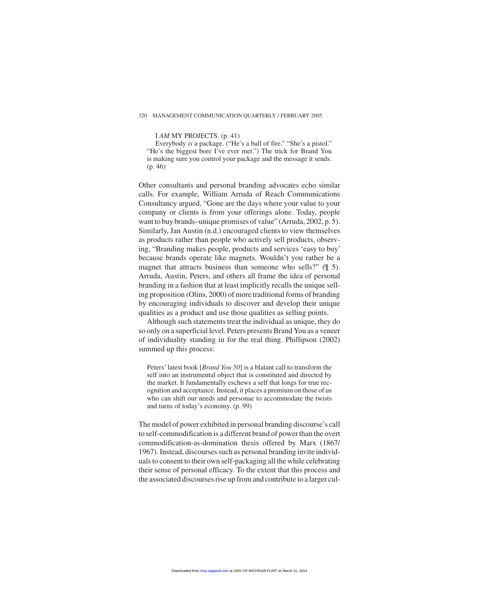#### 320 MANAGEMENT COMMUNICATION QUARTERLY / FEBRUARY 2005

I *AM* MY PROJECTS. (p. 41)

Everybody *is* a package. ("He's a ball of fire." "She's a pistol." "He's the biggest bore I've ever met.") The trick for Brand You is making sure you control your package and the message it sends. (p. 46)

Other consultants and personal branding advocates echo similar calls. For example, William Arruda of Reach Communications Consultancy argued, "Gone are the days where your value to your company or clients is from your offerings alone. Today, people want to buy brands–unique promises of value" (Arruda, 2002, p. 5). Similarly, Jan Austin (n.d.) encouraged clients to view themselves as products rather than people who actively sell products, observing, "Branding makes people, products and services 'easy to buy' because brands operate like magnets. Wouldn't you rather be a magnet that attracts business than someone who sells?" ( $\parallel$  5). Arruda, Austin, Peters, and others all frame the idea of personal branding in a fashion that at least implicitly recalls the unique selling proposition (Olins, 2000) of more traditional forms of branding by encouraging individuals to discover and develop their unique qualities as a product and use those qualities as selling points.

Although such statements treat the individual as unique, they do so only on a superficial level. Peters presents Brand You as a veneer of individuality standing in for the real thing. Phillipson (2002) summed up this process:

Peters' latest book [*Brand You 50*] is a blatant call to transform the self into an instrumental object that is constituted and directed by the market. It fundamentally eschews a self that longs for true recognition and acceptance. Instead, it places a premium on those of us who can shift our needs and personae to accommodate the twists and turns of today's economy. (p. 99)

The model of power exhibited in personal branding discourse's call to self-commodification is a different brand of power than the overt commodification-as-domination thesis offered by Marx (1867/ 1967). Instead, discourses such as personal branding invite individuals to consent to their own self-packaging all the while celebrating their sense of personal efficacy. To the extent that this process and the associated discourses rise up from and contribute to a larger cul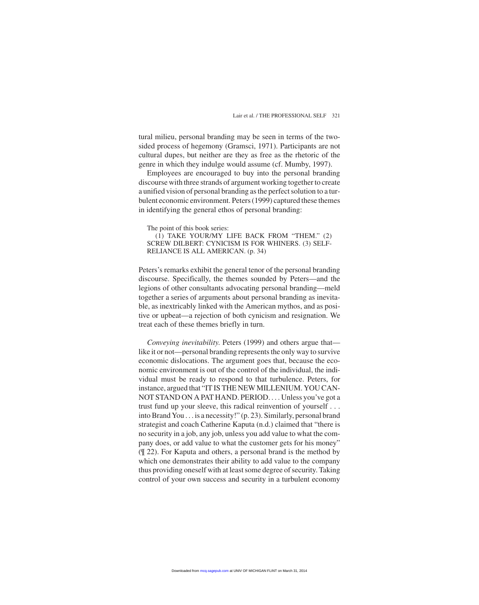tural milieu, personal branding may be seen in terms of the twosided process of hegemony (Gramsci, 1971). Participants are not cultural dupes, but neither are they as free as the rhetoric of the genre in which they indulge would assume (cf. Mumby, 1997).

Employees are encouraged to buy into the personal branding discourse with three strands of argument working together to create a unified vision of personal branding as the perfect solution to a turbulent economic environment. Peters (1999) captured these themes in identifying the general ethos of personal branding:

The point of this book series:

(1) TAKE YOUR/MY LIFE BACK FROM "THEM." (2) SCREW DILBERT: CYNICISM IS FOR WHINERS. (3) SELF-RELIANCE IS ALL AMERICAN. (p. 34)

Peters's remarks exhibit the general tenor of the personal branding discourse. Specifically, the themes sounded by Peters—and the legions of other consultants advocating personal branding—meld together a series of arguments about personal branding as inevitable, as inextricably linked with the American mythos, and as positive or upbeat—a rejection of both cynicism and resignation. We treat each of these themes briefly in turn.

*Conveying inevitability*. Peters (1999) and others argue that like it or not—personal branding represents the only way to survive economic dislocations. The argument goes that, because the economic environment is out of the control of the individual, the individual must be ready to respond to that turbulence. Peters, for instance, argued that "IT IS THE NEW MILLENIUM. YOU CAN-NOT STAND ON A PAT HAND. PERIOD. . . . Unless you've got a trust fund up your sleeve, this radical reinvention of yourself . . . into Brand You . . . is a necessity!" (p. 23). Similarly, personal brand strategist and coach Catherine Kaputa (n.d.) claimed that "there is no security in a job, any job, unless you add value to what the company does, or add value to what the customer gets for his money" (¶ 22). For Kaputa and others, a personal brand is the method by which one demonstrates their ability to add value to the company thus providing oneself with at least some degree of security. Taking control of your own success and security in a turbulent economy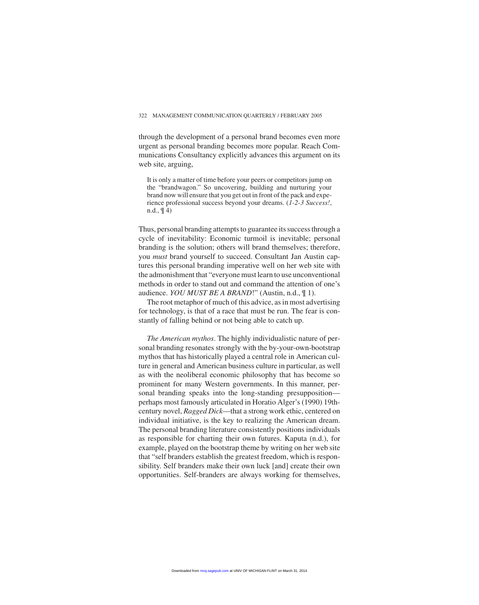through the development of a personal brand becomes even more urgent as personal branding becomes more popular. Reach Communications Consultancy explicitly advances this argument on its web site, arguing,

It is only a matter of time before your peers or competitors jump on the "brandwagon." So uncovering, building and nurturing your brand now will ensure that you get out in front of the pack and experience professional success beyond your dreams. (*1-2-3 Success!*, n.d., ¶ 4)

Thus, personal branding attempts to guarantee its success through a cycle of inevitability: Economic turmoil is inevitable; personal branding is the solution; others will brand themselves; therefore, you *must* brand yourself to succeed. Consultant Jan Austin captures this personal branding imperative well on her web site with the admonishment that "everyone must learn to use unconventional methods in order to stand out and command the attention of one's audience. *YOU MUST BE A BRAND*!" (Austin, n.d., ¶ 1).

The root metaphor of much of this advice, as in most advertising for technology, is that of a race that must be run. The fear is constantly of falling behind or not being able to catch up.

*The American mythos*. The highly individualistic nature of personal branding resonates strongly with the by-your-own-bootstrap mythos that has historically played a central role in American culture in general and American business culture in particular, as well as with the neoliberal economic philosophy that has become so prominent for many Western governments. In this manner, personal branding speaks into the long-standing presupposition perhaps most famously articulated in Horatio Alger's (1990) 19thcentury novel, *Ragged Dick*—that a strong work ethic, centered on individual initiative, is the key to realizing the American dream. The personal branding literature consistently positions individuals as responsible for charting their own futures. Kaputa (n.d.), for example, played on the bootstrap theme by writing on her web site that "self branders establish the greatest freedom, which is responsibility. Self branders make their own luck [and] create their own opportunities. Self-branders are always working for themselves,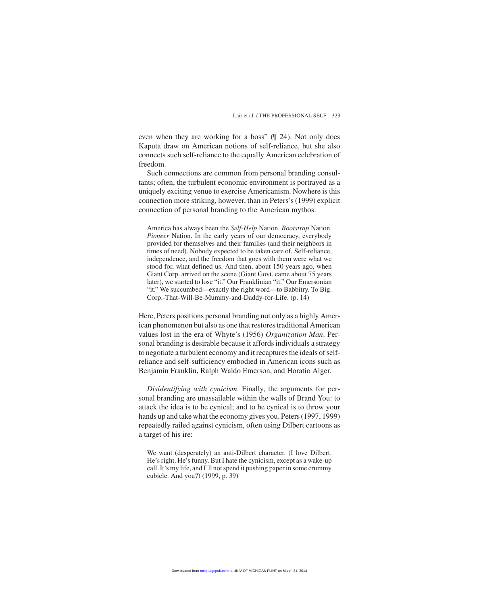even when they are working for a boss" (¶ 24). Not only does Kaputa draw on American notions of self-reliance, but she also connects such self-reliance to the equally American celebration of freedom.

Such connections are common from personal branding consultants; often, the turbulent economic environment is portrayed as a uniquely exciting venue to exercise Americanism. Nowhere is this connection more striking, however, than in Peters's (1999) explicit connection of personal branding to the American mythos:

America has always been the *Self-Help* Nation. *Bootstrap* Nation. *Pioneer* Nation. In the early years of our democracy, everybody provided for themselves and their families (and their neighbors in times of need). Nobody expected to be taken care of. Self-reliance, independence, and the freedom that goes with them were what we stood for, what defined us. And then, about 150 years ago, when Giant Corp. arrived on the scene (Giant Govt. came about 75 years later), we started to lose "it." Our Franklinian "it." Our Emersonian "it." We succumbed—exactly the right word—to Babbitry. To Big. Corp.-That-Will-Be-Mummy-and-Daddy-for-Life. (p. 14)

Here, Peters positions personal branding not only as a highly American phenomenon but also as one that restores traditional American values lost in the era of Whyte's (1956) *Organization Man*. Personal branding is desirable because it affords individuals a strategy to negotiate a turbulent economy and it recaptures the ideals of selfreliance and self-sufficiency embodied in American icons such as Benjamin Franklin, Ralph Waldo Emerson, and Horatio Alger.

*Disidentifying with cynicism*. Finally, the arguments for personal branding are unassailable within the walls of Brand You: to attack the idea is to be cynical; and to be cynical is to throw your hands up and take what the economy gives you. Peters (1997, 1999) repeatedly railed against cynicism, often using Dilbert cartoons as a target of his ire:

We want (desperately) an anti-Dilbert character. (I love Dilbert. He's right. He's funny. But I hate the cynicism, except as a wake-up call. It's my life, and I'll not spend it pushing paper in some crummy cubicle. And you?) (1999, p. 39)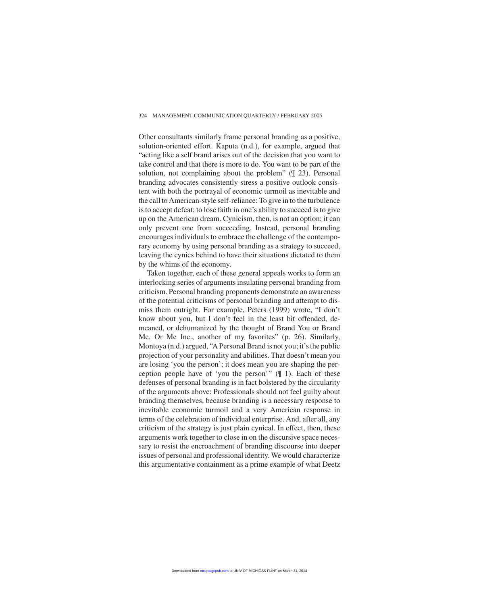#### 324 MANAGEMENT COMMUNICATION QUARTERLY / FEBRUARY 2005

Other consultants similarly frame personal branding as a positive, solution-oriented effort. Kaputa (n.d.), for example, argued that "acting like a self brand arises out of the decision that you want to take control and that there is more to do. You want to be part of the solution, not complaining about the problem" (¶ 23). Personal branding advocates consistently stress a positive outlook consistent with both the portrayal of economic turmoil as inevitable and the call to American-style self-reliance: To give in to the turbulence is to accept defeat; to lose faith in one's ability to succeed is to give up on the American dream. Cynicism, then, is not an option; it can only prevent one from succeeding. Instead, personal branding encourages individuals to embrace the challenge of the contemporary economy by using personal branding as a strategy to succeed, leaving the cynics behind to have their situations dictated to them by the whims of the economy.

Taken together, each of these general appeals works to form an interlocking series of arguments insulating personal branding from criticism. Personal branding proponents demonstrate an awareness of the potential criticisms of personal branding and attempt to dismiss them outright. For example, Peters (1999) wrote, "I don't know about you, but I don't feel in the least bit offended, demeaned, or dehumanized by the thought of Brand You or Brand Me. Or Me Inc., another of my favorites" (p. 26). Similarly, Montoya (n.d.) argued, "A Personal Brand is not you; it's the public projection of your personality and abilities. That doesn't mean you are losing 'you the person'; it does mean you are shaping the perception people have of 'you the person'" (¶ 1). Each of these defenses of personal branding is in fact bolstered by the circularity of the arguments above: Professionals should not feel guilty about branding themselves, because branding is a necessary response to inevitable economic turmoil and a very American response in terms of the celebration of individual enterprise. And, after all, any criticism of the strategy is just plain cynical. In effect, then, these arguments work together to close in on the discursive space necessary to resist the encroachment of branding discourse into deeper issues of personal and professional identity. We would characterize this argumentative containment as a prime example of what Deetz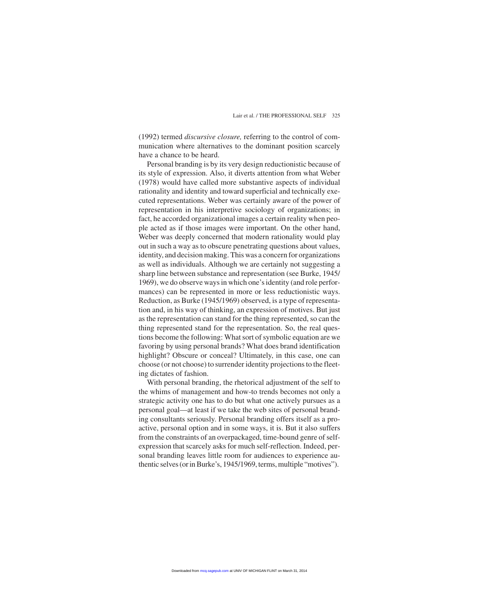(1992) termed *discursive closure,* referring to the control of communication where alternatives to the dominant position scarcely have a chance to be heard.

Personal branding is by its very design reductionistic because of its style of expression. Also, it diverts attention from what Weber (1978) would have called more substantive aspects of individual rationality and identity and toward superficial and technically executed representations. Weber was certainly aware of the power of representation in his interpretive sociology of organizations; in fact, he accorded organizational images a certain reality when people acted as if those images were important. On the other hand, Weber was deeply concerned that modern rationality would play out in such a way as to obscure penetrating questions about values, identity, and decision making. This was a concern for organizations as well as individuals. Although we are certainly not suggesting a sharp line between substance and representation (see Burke, 1945/ 1969), we do observe ways in which one's identity (and role performances) can be represented in more or less reductionistic ways. Reduction, as Burke (1945/1969) observed, is a type of representation and, in his way of thinking, an expression of motives. But just as the representation can stand for the thing represented, so can the thing represented stand for the representation. So, the real questions become the following: What sort of symbolic equation are we favoring by using personal brands? What does brand identification highlight? Obscure or conceal? Ultimately, in this case, one can choose (or not choose) to surrender identity projections to the fleeting dictates of fashion.

With personal branding, the rhetorical adjustment of the self to the whims of management and how-to trends becomes not only a strategic activity one has to do but what one actively pursues as a personal goal—at least if we take the web sites of personal branding consultants seriously. Personal branding offers itself as a proactive, personal option and in some ways, it is. But it also suffers from the constraints of an overpackaged, time-bound genre of selfexpression that scarcely asks for much self-reflection. Indeed, personal branding leaves little room for audiences to experience authentic selves (or in Burke's, 1945/1969, terms, multiple "motives").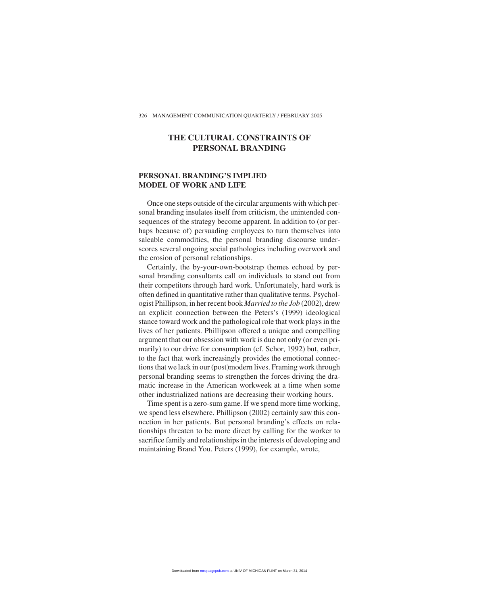# **THE CULTURAL CONSTRAINTS OF PERSONAL BRANDING**

#### **PERSONAL BRANDING'S IMPLIED MODEL OF WORK AND LIFE**

Once one steps outside of the circular arguments with which personal branding insulates itself from criticism, the unintended consequences of the strategy become apparent. In addition to (or perhaps because of) persuading employees to turn themselves into saleable commodities, the personal branding discourse underscores several ongoing social pathologies including overwork and the erosion of personal relationships.

Certainly, the by-your-own-bootstrap themes echoed by personal branding consultants call on individuals to stand out from their competitors through hard work. Unfortunately, hard work is often defined in quantitative rather than qualitative terms. Psychologist Phillipson, in her recent book *Married to the Job* (2002), drew an explicit connection between the Peters's (1999) ideological stance toward work and the pathological role that work plays in the lives of her patients. Phillipson offered a unique and compelling argument that our obsession with work is due not only (or even primarily) to our drive for consumption (cf. Schor, 1992) but, rather, to the fact that work increasingly provides the emotional connections that we lack in our (post)modern lives. Framing work through personal branding seems to strengthen the forces driving the dramatic increase in the American workweek at a time when some other industrialized nations are decreasing their working hours.

Time spent is a zero-sum game. If we spend more time working, we spend less elsewhere. Phillipson (2002) certainly saw this connection in her patients. But personal branding's effects on relationships threaten to be more direct by calling for the worker to sacrifice family and relationships in the interests of developing and maintaining Brand You. Peters (1999), for example, wrote,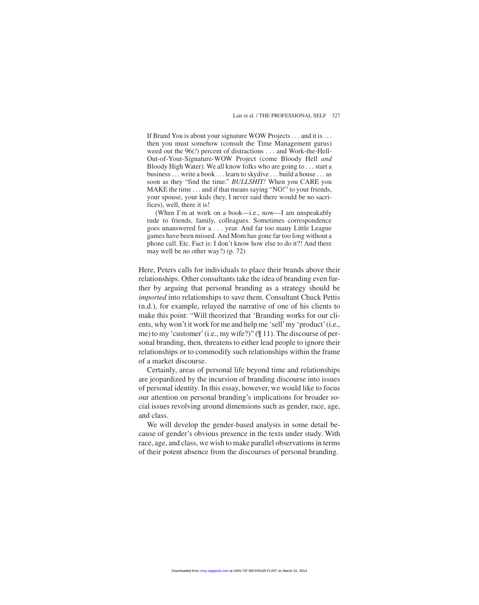If Brand You is about your signature WOW Projects . . . and it is . . . then you must somehow (consult the Time Management gurus) weed out the 96(*!*) percent of distractions . . . and Work-the-Hell-Out-of-Your-Signature-WOW Project (come Bloody Hell *and* Bloody High Water). We all know folks who are going to . . . start a business . . . write a book . . . learn to skydive ...build a house . . . as soon as they "find the time." *BULLSHIT!* When you CARE you MAKE the time . . . and if that means saying "NO!" to your friends, your spouse, your kids (hey, I never said there would be no sacrifices), well, there it is!

(When I'm at work on a book—i.e., now—I am unspeakably rude to friends, family, colleagues. Sometimes correspondence goes unanswered for a . . . year. And far too many Little League games have been missed. And Mom has gone far too long without a phone call. Etc. Fact is: I don't know how else to do it?! And there may well be no other way?) (p. 72)

Here, Peters calls for individuals to place their brands above their relationships. Other consultants take the idea of branding even further by arguing that personal branding as a strategy should be *imported* into relationships to save them. Consultant Chuck Pettis (n.d.), for example, relayed the narrative of one of his clients to make this point: "Will theorized that 'Branding works for our clients, why won't it work for me and help me 'sell'my 'product'(i.e., me) to my 'customer'(i.e., my wife?)" (¶ 11). The discourse of personal branding, then, threatens to either lead people to ignore their relationships or to commodify such relationships within the frame of a market discourse.

Certainly, areas of personal life beyond time and relationships are jeopardized by the incursion of branding discourse into issues of personal identity. In this essay, however, we would like to focus our attention on personal branding's implications for broader social issues revolving around dimensions such as gender, race, age, and class.

We will develop the gender-based analysis in some detail because of gender's obvious presence in the texts under study. With race, age, and class, we wish to make parallel observations in terms of their potent absence from the discourses of personal branding.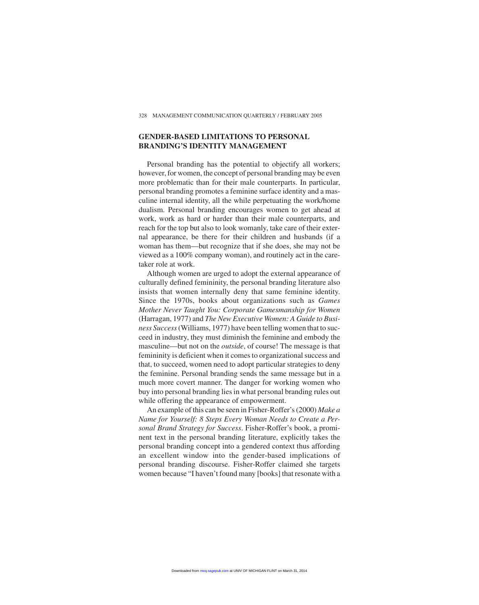#### **GENDER-BASED LIMITATIONS TO PERSONAL BRANDING'S IDENTITY MANAGEMENT**

Personal branding has the potential to objectify all workers; however, for women, the concept of personal branding may be even more problematic than for their male counterparts. In particular, personal branding promotes a feminine surface identity and a masculine internal identity, all the while perpetuating the work/home dualism. Personal branding encourages women to get ahead at work, work as hard or harder than their male counterparts, and reach for the top but also to look womanly, take care of their external appearance, be there for their children and husbands (if a woman has them—but recognize that if she does, she may not be viewed as a 100% company woman), and routinely act in the caretaker role at work.

Although women are urged to adopt the external appearance of culturally defined femininity, the personal branding literature also insists that women internally deny that same feminine identity. Since the 1970s, books about organizations such as *Games Mother Never Taught You: Corporate Gamesmanship for Women* (Harragan, 1977) and *The New Executive Women: A Guide to Business Success*(Williams, 1977) have been telling women that to succeed in industry, they must diminish the feminine and embody the masculine—but not on the *outside*, of course! The message is that femininity is deficient when it comes to organizational success and that, to succeed, women need to adopt particular strategies to deny the feminine. Personal branding sends the same message but in a much more covert manner. The danger for working women who buy into personal branding lies in what personal branding rules out while offering the appearance of empowerment.

An example of this can be seen in Fisher-Roffer's (2000) *Make a Name for Yourself: 8 Steps Every Woman Needs to Create a Personal Brand Strategy for Success*. Fisher-Roffer's book, a prominent text in the personal branding literature, explicitly takes the personal branding concept into a gendered context thus affording an excellent window into the gender-based implications of personal branding discourse. Fisher-Roffer claimed she targets women because "I haven't found many [books] that resonate with a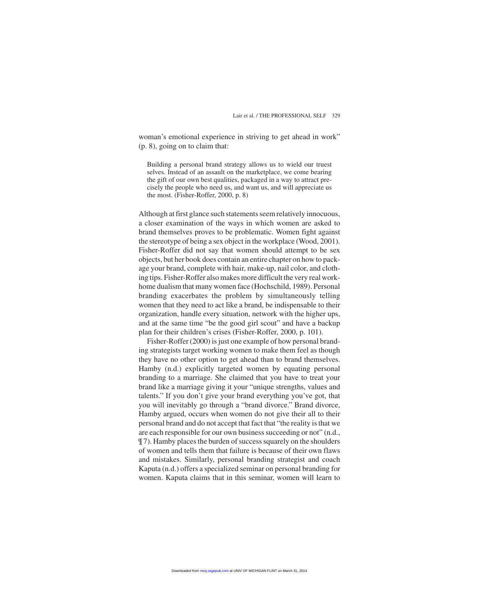woman's emotional experience in striving to get ahead in work" (p. 8), going on to claim that:

Building a personal brand strategy allows us to wield our truest selves. Instead of an assault on the marketplace, we come bearing the gift of our own best qualities, packaged in a way to attract precisely the people who need us, and want us, and will appreciate us the most. (Fisher-Roffer, 2000, p. 8)

Although at first glance such statements seem relatively innocuous, a closer examination of the ways in which women are asked to brand themselves proves to be problematic. Women fight against the stereotype of being a sex object in the workplace (Wood, 2001). Fisher-Roffer did not say that women should attempt to be sex objects, but her book does contain an entire chapter on how to package your brand, complete with hair, make-up, nail color, and clothing tips. Fisher-Roffer also makes more difficult the very real workhome dualism that many women face (Hochschild, 1989). Personal branding exacerbates the problem by simultaneously telling women that they need to act like a brand, be indispensable to their organization, handle every situation, network with the higher ups, and at the same time "be the good girl scout" and have a backup plan for their children's crises (Fisher-Roffer, 2000, p. 101).

Fisher-Roffer (2000) is just one example of how personal branding strategists target working women to make them feel as though they have no other option to get ahead than to brand themselves. Hamby (n.d.) explicitly targeted women by equating personal branding to a marriage. She claimed that you have to treat your brand like a marriage giving it your "unique strengths, values and talents." If you don't give your brand everything you've got, that you will inevitably go through a "brand divorce." Brand divorce, Hamby argued, occurs when women do not give their all to their personal brand and do not accept that fact that "the reality is that we are each responsible for our own business succeeding or not" (n.d., ¶ 7). Hamby places the burden of success squarely on the shoulders of women and tells them that failure is because of their own flaws and mistakes. Similarly, personal branding strategist and coach Kaputa (n.d.) offers a specialized seminar on personal branding for women. Kaputa claims that in this seminar, women will learn to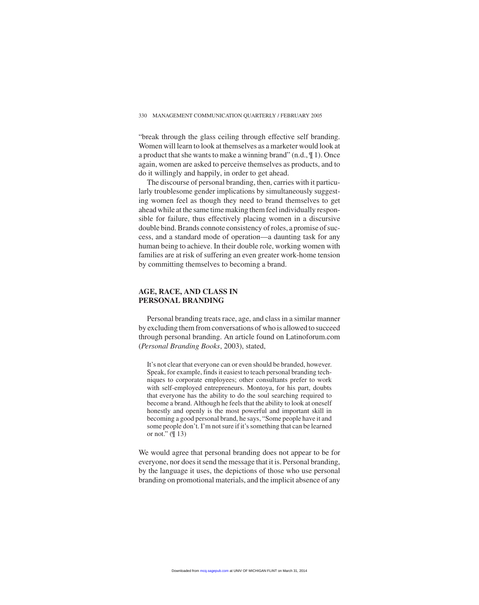"break through the glass ceiling through effective self branding. Women will learn to look at themselves as a marketer would look at a product that she wants to make a winning brand" (n.d., ¶ 1). Once again, women are asked to perceive themselves as products, and to do it willingly and happily, in order to get ahead.

The discourse of personal branding, then, carries with it particularly troublesome gender implications by simultaneously suggesting women feel as though they need to brand themselves to get ahead while at the same time making them feel individually responsible for failure, thus effectively placing women in a discursive double bind. Brands connote consistency of roles, a promise of success, and a standard mode of operation—a daunting task for any human being to achieve. In their double role, working women with families are at risk of suffering an even greater work-home tension by committing themselves to becoming a brand.

#### **AGE, RACE, AND CLASS IN PERSONAL BRANDING**

Personal branding treats race, age, and class in a similar manner by excluding them from conversations of who is allowed to succeed through personal branding. An article found on Latinoforum.com (*Personal Branding Books*, 2003), stated,

It's not clear that everyone can or even should be branded, however. Speak, for example, finds it easiest to teach personal branding techniques to corporate employees; other consultants prefer to work with self-employed entrepreneurs. Montoya, for his part, doubts that everyone has the ability to do the soul searching required to become a brand. Although he feels that the ability to look at oneself honestly and openly is the most powerful and important skill in becoming a good personal brand, he says, "Some people have it and some people don't. I'm not sure if it's something that can be learned or not."  $($  $\parallel$  13)

We would agree that personal branding does not appear to be for everyone, nor does it send the message that it is. Personal branding, by the language it uses, the depictions of those who use personal branding on promotional materials, and the implicit absence of any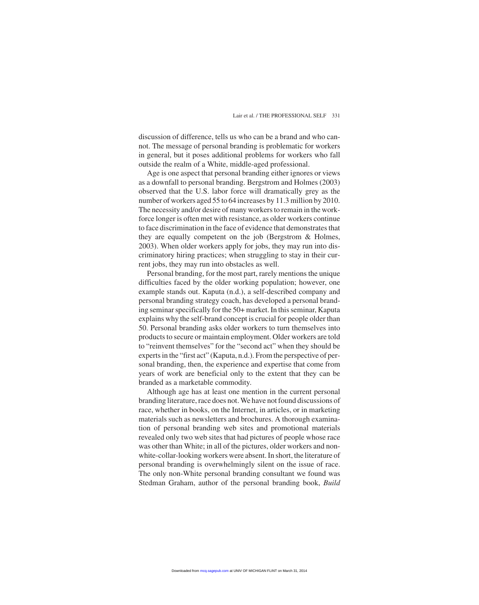discussion of difference, tells us who can be a brand and who cannot. The message of personal branding is problematic for workers in general, but it poses additional problems for workers who fall outside the realm of a White, middle-aged professional.

Age is one aspect that personal branding either ignores or views as a downfall to personal branding. Bergstrom and Holmes (2003) observed that the U.S. labor force will dramatically grey as the number of workers aged 55 to 64 increases by 11.3 million by 2010. The necessity and/or desire of many workers to remain in the workforce longer is often met with resistance, as older workers continue to face discrimination in the face of evidence that demonstrates that they are equally competent on the job (Bergstrom & Holmes, 2003). When older workers apply for jobs, they may run into discriminatory hiring practices; when struggling to stay in their current jobs, they may run into obstacles as well.

Personal branding, for the most part, rarely mentions the unique difficulties faced by the older working population; however, one example stands out. Kaputa (n.d.), a self-described company and personal branding strategy coach, has developed a personal branding seminar specifically for the 50+ market. In this seminar, Kaputa explains why the self-brand concept is crucial for people older than 50. Personal branding asks older workers to turn themselves into products to secure or maintain employment. Older workers are told to "reinvent themselves" for the "second act" when they should be experts in the "first act" (Kaputa, n.d.). From the perspective of personal branding, then, the experience and expertise that come from years of work are beneficial only to the extent that they can be branded as a marketable commodity.

Although age has at least one mention in the current personal branding literature, race does not. We have not found discussions of race, whether in books, on the Internet, in articles, or in marketing materials such as newsletters and brochures. A thorough examination of personal branding web sites and promotional materials revealed only two web sites that had pictures of people whose race was other than White; in all of the pictures, older workers and nonwhite-collar-looking workers were absent. In short, the literature of personal branding is overwhelmingly silent on the issue of race. The only non-White personal branding consultant we found was Stedman Graham, author of the personal branding book, *Build*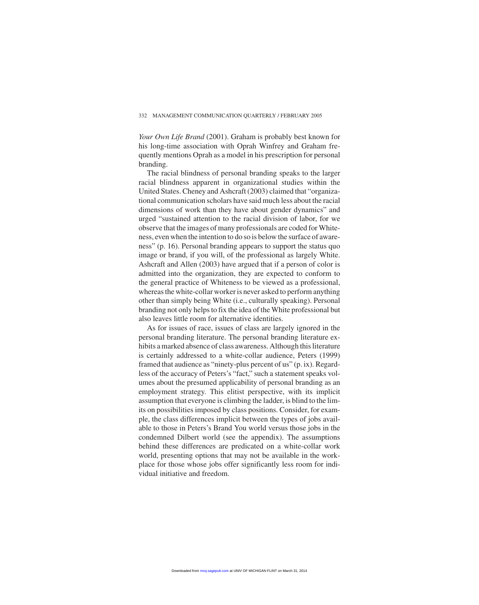#### 332 MANAGEMENT COMMUNICATION QUARTERLY / FEBRUARY 2005

*Your Own Life Brand* (2001). Graham is probably best known for his long-time association with Oprah Winfrey and Graham frequently mentions Oprah as a model in his prescription for personal branding.

The racial blindness of personal branding speaks to the larger racial blindness apparent in organizational studies within the United States. Cheney and Ashcraft (2003) claimed that "organizational communication scholars have said much less about the racial dimensions of work than they have about gender dynamics" and urged "sustained attention to the racial division of labor, for we observe that the images of many professionals are coded for Whiteness, even when the intention to do so is below the surface of awareness" (p. 16). Personal branding appears to support the status quo image or brand, if you will, of the professional as largely White. Ashcraft and Allen (2003) have argued that if a person of color is admitted into the organization, they are expected to conform to the general practice of Whiteness to be viewed as a professional, whereas the white-collar worker is never asked to perform anything other than simply being White (i.e., culturally speaking). Personal branding not only helps to fix the idea of the White professional but also leaves little room for alternative identities.

As for issues of race, issues of class are largely ignored in the personal branding literature. The personal branding literature exhibits a marked absence of class awareness. Although this literature is certainly addressed to a white-collar audience, Peters (1999) framed that audience as "ninety-plus percent of us" (p. ix). Regardless of the accuracy of Peters's "fact," such a statement speaks volumes about the presumed applicability of personal branding as an employment strategy. This elitist perspective, with its implicit assumption that everyone is climbing the ladder, is blind to the limits on possibilities imposed by class positions. Consider, for example, the class differences implicit between the types of jobs available to those in Peters's Brand You world versus those jobs in the condemned Dilbert world (see the appendix). The assumptions behind these differences are predicated on a white-collar work world, presenting options that may not be available in the workplace for those whose jobs offer significantly less room for individual initiative and freedom.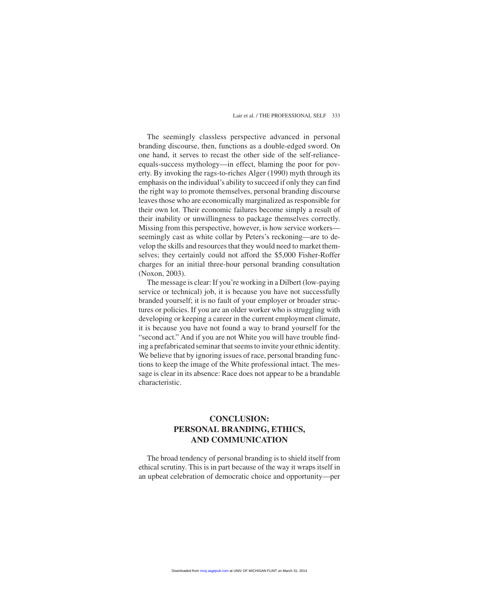The seemingly classless perspective advanced in personal branding discourse, then, functions as a double-edged sword. On one hand, it serves to recast the other side of the self-relianceequals-success mythology—in effect, blaming the poor for poverty. By invoking the rags-to-riches Alger (1990) myth through its emphasis on the individual's ability to succeed if only they can find the right way to promote themselves, personal branding discourse leaves those who are economically marginalized as responsible for their own lot. Their economic failures become simply a result of their inability or unwillingness to package themselves correctly. Missing from this perspective, however, is how service workers seemingly cast as white collar by Peters's reckoning—are to develop the skills and resources that they would need to market themselves; they certainly could not afford the \$5,000 Fisher-Roffer charges for an initial three-hour personal branding consultation (Noxon, 2003).

The message is clear: If you're working in a Dilbert (low-paying service or technical) job, it is because you have not successfully branded yourself; it is no fault of your employer or broader structures or policies. If you are an older worker who is struggling with developing or keeping a career in the current employment climate, it is because you have not found a way to brand yourself for the "second act." And if you are not White you will have trouble finding a prefabricated seminar that seems to invite your ethnic identity. We believe that by ignoring issues of race, personal branding functions to keep the image of the White professional intact. The message is clear in its absence: Race does not appear to be a brandable characteristic.

# **CONCLUSION: PERSONAL BRANDING, ETHICS, AND COMMUNICATION**

The broad tendency of personal branding is to shield itself from ethical scrutiny. This is in part because of the way it wraps itself in an upbeat celebration of democratic choice and opportunity—per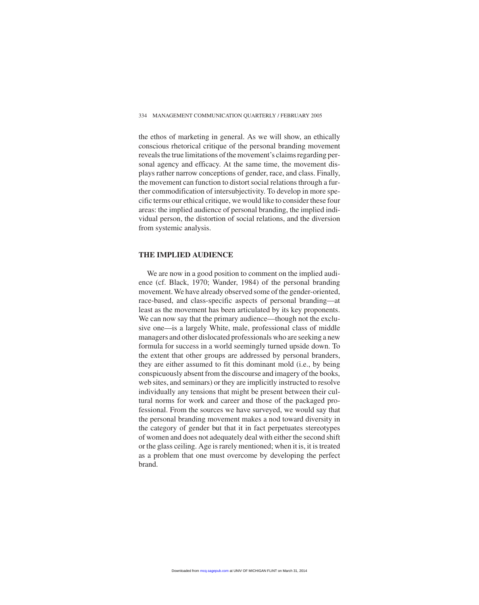the ethos of marketing in general. As we will show, an ethically conscious rhetorical critique of the personal branding movement reveals the true limitations of the movement's claims regarding personal agency and efficacy. At the same time, the movement displays rather narrow conceptions of gender, race, and class. Finally, the movement can function to distort social relations through a further commodification of intersubjectivity. To develop in more specific terms our ethical critique, we would like to consider these four areas: the implied audience of personal branding, the implied individual person, the distortion of social relations, and the diversion from systemic analysis.

#### **THE IMPLIED AUDIENCE**

We are now in a good position to comment on the implied audience (cf. Black, 1970; Wander, 1984) of the personal branding movement. We have already observed some of the gender-oriented, race-based, and class-specific aspects of personal branding—at least as the movement has been articulated by its key proponents. We can now say that the primary audience—though not the exclusive one—is a largely White, male, professional class of middle managers and other dislocated professionals who are seeking a new formula for success in a world seemingly turned upside down. To the extent that other groups are addressed by personal branders, they are either assumed to fit this dominant mold (i.e., by being conspicuously absent from the discourse and imagery of the books, web sites, and seminars) or they are implicitly instructed to resolve individually any tensions that might be present between their cultural norms for work and career and those of the packaged professional. From the sources we have surveyed, we would say that the personal branding movement makes a nod toward diversity in the category of gender but that it in fact perpetuates stereotypes of women and does not adequately deal with either the second shift or the glass ceiling. Age is rarely mentioned; when it is, it is treated as a problem that one must overcome by developing the perfect brand.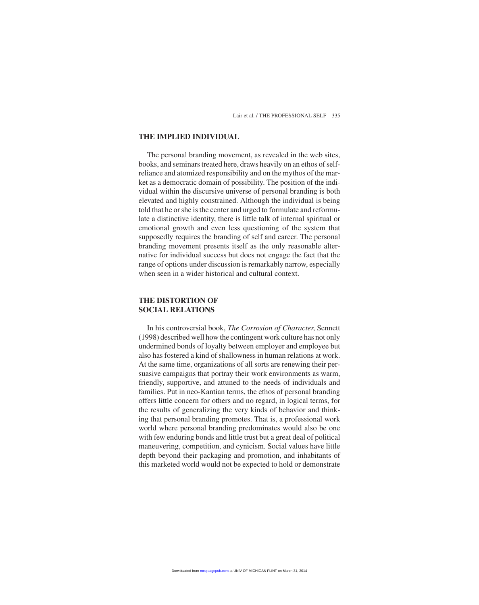#### **THE IMPLIED INDIVIDUAL**

The personal branding movement, as revealed in the web sites, books, and seminars treated here, draws heavily on an ethos of selfreliance and atomized responsibility and on the mythos of the market as a democratic domain of possibility. The position of the individual within the discursive universe of personal branding is both elevated and highly constrained. Although the individual is being told that he or she is the center and urged to formulate and reformulate a distinctive identity, there is little talk of internal spiritual or emotional growth and even less questioning of the system that supposedly requires the branding of self and career. The personal branding movement presents itself as the only reasonable alternative for individual success but does not engage the fact that the range of options under discussion is remarkably narrow, especially when seen in a wider historical and cultural context.

#### **THE DISTORTION OF SOCIAL RELATIONS**

In his controversial book, *The Corrosion of Character*, Sennett (1998) described well how the contingent work culture has not only undermined bonds of loyalty between employer and employee but also has fostered a kind of shallowness in human relations at work. At the same time, organizations of all sorts are renewing their persuasive campaigns that portray their work environments as warm, friendly, supportive, and attuned to the needs of individuals and families. Put in neo-Kantian terms, the ethos of personal branding offers little concern for others and no regard, in logical terms, for the results of generalizing the very kinds of behavior and thinking that personal branding promotes. That is, a professional work world where personal branding predominates would also be one with few enduring bonds and little trust but a great deal of political maneuvering, competition, and cynicism. Social values have little depth beyond their packaging and promotion, and inhabitants of this marketed world would not be expected to hold or demonstrate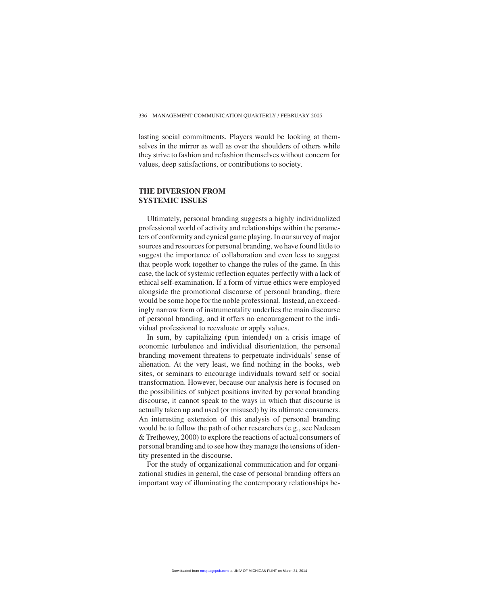lasting social commitments. Players would be looking at themselves in the mirror as well as over the shoulders of others while they strive to fashion and refashion themselves without concern for values, deep satisfactions, or contributions to society.

#### **THE DIVERSION FROM SYSTEMIC ISSUES**

Ultimately, personal branding suggests a highly individualized professional world of activity and relationships within the parameters of conformity and cynical game playing. In our survey of major sources and resources for personal branding, we have found little to suggest the importance of collaboration and even less to suggest that people work together to change the rules of the game. In this case, the lack of systemic reflection equates perfectly with a lack of ethical self-examination. If a form of virtue ethics were employed alongside the promotional discourse of personal branding, there would be some hope for the noble professional. Instead, an exceedingly narrow form of instrumentality underlies the main discourse of personal branding, and it offers no encouragement to the individual professional to reevaluate or apply values.

In sum, by capitalizing (pun intended) on a crisis image of economic turbulence and individual disorientation, the personal branding movement threatens to perpetuate individuals' sense of alienation. At the very least, we find nothing in the books, web sites, or seminars to encourage individuals toward self or social transformation. However, because our analysis here is focused on the possibilities of subject positions invited by personal branding discourse, it cannot speak to the ways in which that discourse is actually taken up and used (or misused) by its ultimate consumers. An interesting extension of this analysis of personal branding would be to follow the path of other researchers (e.g., see Nadesan & Trethewey, 2000) to explore the reactions of actual consumers of personal branding and to see how they manage the tensions of identity presented in the discourse.

For the study of organizational communication and for organizational studies in general, the case of personal branding offers an important way of illuminating the contemporary relationships be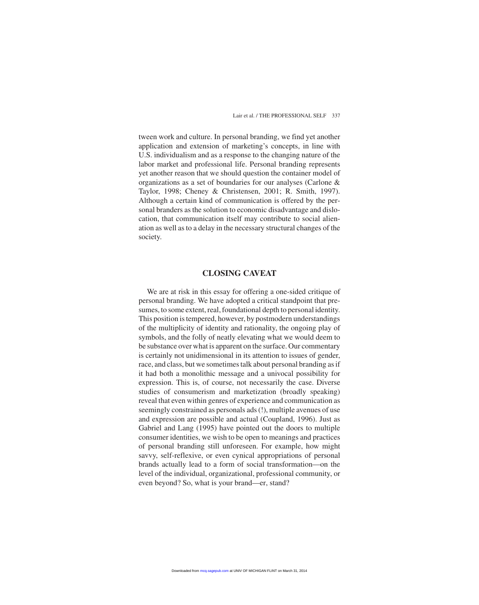tween work and culture. In personal branding, we find yet another application and extension of marketing's concepts, in line with U.S. individualism and as a response to the changing nature of the labor market and professional life. Personal branding represents yet another reason that we should question the container model of organizations as a set of boundaries for our analyses (Carlone & Taylor, 1998; Cheney & Christensen, 2001; R. Smith, 1997). Although a certain kind of communication is offered by the personal branders as the solution to economic disadvantage and dislocation, that communication itself may contribute to social alienation as well as to a delay in the necessary structural changes of the society.

#### **CLOSING CAVEAT**

We are at risk in this essay for offering a one-sided critique of personal branding. We have adopted a critical standpoint that presumes, to some extent, real, foundational depth to personal identity. This position is tempered, however, by postmodern understandings of the multiplicity of identity and rationality, the ongoing play of symbols, and the folly of neatly elevating what we would deem to be substance over what is apparent on the surface. Our commentary is certainly not unidimensional in its attention to issues of gender, race, and class, but we sometimes talk about personal branding as if it had both a monolithic message and a univocal possibility for expression. This is, of course, not necessarily the case. Diverse studies of consumerism and marketization (broadly speaking) reveal that even within genres of experience and communication as seemingly constrained as personals ads (!), multiple avenues of use and expression are possible and actual (Coupland, 1996). Just as Gabriel and Lang (1995) have pointed out the doors to multiple consumer identities, we wish to be open to meanings and practices of personal branding still unforeseen. For example, how might savvy, self-reflexive, or even cynical appropriations of personal brands actually lead to a form of social transformation—on the level of the individual, organizational, professional community, or even beyond? So, what is your brand—er, stand?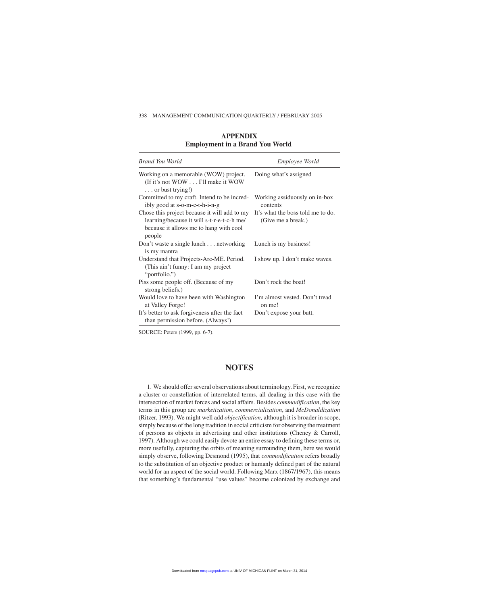338 MANAGEMENT COMMUNICATION QUARTERLY / FEBRUARY 2005

| Brand You World                                                                                                                                | <i>Employee World</i>                                   |
|------------------------------------------------------------------------------------------------------------------------------------------------|---------------------------------------------------------|
| Working on a memorable (WOW) project.<br>(If it's not WOW I'll make it WOW<br>$\ldots$ or bust trying!)                                        | Doing what's assigned                                   |
| Committed to my craft. Intend to be incred-<br>ibly good at s-o-m-e-t-h-i-n-g                                                                  | Working assiduously on in-box<br>contents               |
| Chose this project because it will add to my<br>learning/because it will s-t-r-e-t-c-h me/<br>because it allows me to hang with cool<br>people | It's what the boss told me to do.<br>(Give me a break.) |
| Don't waste a single lunch networking<br>is my mantra                                                                                          | Lunch is my business!                                   |
| Understand that Projects-Are-ME. Period.<br>(This ain't funny: I am my project)<br>"portfolio.")                                               | I show up. I don't make waves.                          |
| Piss some people off. (Because of my<br>strong beliefs.)                                                                                       | Don't rock the boat!                                    |
| Would love to have been with Washington<br>at Valley Forge!                                                                                    | I'm almost vested. Don't tread<br>on me!                |
| It's better to ask forgiveness after the fact<br>than permission before. (Always!)                                                             | Don't expose your butt.                                 |

**APPENDIX Employment in a Brand You World**

SOURCE: Peters (1999, pp. 6-7).

### **NOTES**

1. We should offer several observations about terminology. First, we recognize a cluster or constellation of interrelated terms, all dealing in this case with the intersection of market forces and social affairs. Besides *commodification*, the key terms in this group are *marketization*, *commercialization*, and *McDonaldization* (Ritzer, 1993). We might well add *objectification,* although it is broader in scope, simply because of the long tradition in social criticism for observing the treatment of persons as objects in advertising and other institutions (Cheney & Carroll, 1997). Although we could easily devote an entire essay to defining these terms or, more usefully, capturing the orbits of meaning surrounding them, here we would simply observe, following Desmond (1995), that *commodification* refers broadly to the substitution of an objective product or humanly defined part of the natural world for an aspect of the social world. Following Marx (1867/1967), this means that something's fundamental "use values" become colonized by exchange and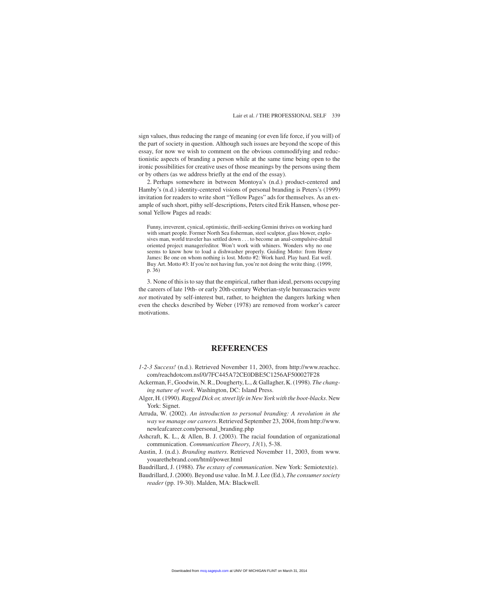sign values, thus reducing the range of meaning (or even life force, if you will) of the part of society in question. Although such issues are beyond the scope of this essay, for now we wish to comment on the obvious commodifying and reductionistic aspects of branding a person while at the same time being open to the ironic possibilities for creative uses of those meanings by the persons using them or by others (as we address briefly at the end of the essay).

2. Perhaps somewhere in between Montoya's (n.d.) product-centered and Hamby's (n.d.) identity-centered visions of personal branding is Peters's (1999) invitation for readers to write short "Yellow Pages" ads for themselves. As an example of such short, pithy self-descriptions, Peters cited Erik Hansen, whose personal Yellow Pages ad reads:

Funny, irreverent, cynical, optimistic, thrill-seeking Gemini thrives on working hard with smart people. Former North Sea fisherman, steel sculptor, glass blower, explosives man, world traveler has settled down . . . to become an anal-compulsive-detail oriented project manager/editor. Won't work with whiners. Wonders why no one seems to know how to load a dishwasher properly. Guiding Motto: from Henry James: Be one on whom nothing is lost. Motto #2: Work hard. Play hard. Eat well. Buy Art. Motto #3: If you're not having fun, you're not doing the write thing. (1999, p. 36)

3. None of this is to say that the empirical, rather than ideal, persons occupying the careers of late 19th- or early 20th-century Weberian-style bureaucracies were *not* motivated by self-interest but, rather, to heighten the dangers lurking when even the checks described by Weber (1978) are removed from worker's career motivations.

#### **REFERENCES**

- *1-2-3 Success!* (n.d.). Retrieved November 11, 2003, from http://www.reachcc. com/reachdotcom.nsf/0/7FC445A72CE0DBE5C1256AF500027F28
- Ackerman, F., Goodwin, N. R., Dougherty, L., & Gallagher, K. (1998). *The changing nature of work*. Washington, DC: Island Press.
- Alger, H. (1990). *Ragged Dick or, street life in New York with the boot-blacks*. New York: Signet.
- Arruda, W. (2002). *An introduction to personal branding: A revolution in the way we manage our careers*. Retrieved September 23, 2004, from http://www. newleafcareer.com/personal\_branding.php
- Ashcraft, K. L., & Allen, B. J. (2003). The racial foundation of organizational communication. *Communication Theory*, *13*(1), 5-38.
- Austin, J. (n.d.). *Branding matters*. Retrieved November 11, 2003, from www. youarethebrand.com/html/power.html
- Baudrillard, J. (1988). *The ecstasy of communication*. New York: Semiotext(e).
- Baudrillard, J. (2000). Beyond use value. In M. J. Lee (Ed.), *The consumer society reader* (pp. 19-30). Malden, MA: Blackwell.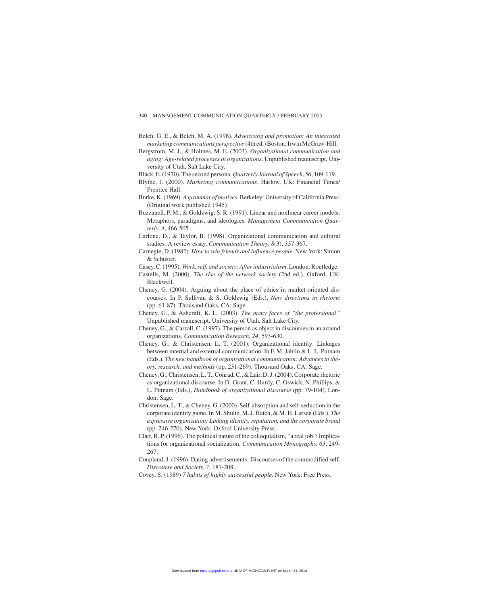- Belch, G. E., & Belch, M. A. (1998). *Advertising and promotion: An integrated marketing communications perspective* (4th ed.) Boston: Irwin McGraw-Hill.
- Bergstrom, M. J., & Holmes, M. E. (2003). *Organizational communication and aging: Age-related processes in organizations*. Unpublished manuscript, University of Utah, Salt Lake City.
- Black, E. (1970). The second persona. *Quarterly Journal of Speech*, *56*, 109-119.
- Blythe, J. (2000). *Marketing communications*. Harlow, UK: Financial Times/ Prentice Hall.
- Burke, K. (1969). *A grammar of motives*. Berkeley: University of California Press. (Original work published 1945)
- Buzzanell, P. M., & Goldzwig, S. R. (1991). Linear and nonlinear career models: Metaphors, paradigms, and ideologies. *Management Communication Quarterly*, *4*, 466-505.
- Carlone, D., & Taylor, B. (1998). Organizational communication and cultural studies: A review essay. *Communication Theory*, *8*(3), 337-367.
- Carnegie, D. (1982). *How to win friends and influence people*. New York: Simon & Schuster.
- Casey, C. (1995). *Work, self, and society: After industrialism*. London: Routledge.
- Castells, M. (2000). *The rise of the network society* (2nd ed.). Oxford, UK: Blackwell.
- Cheney, G. (2004). Arguing about the place of ethics in market-oriented discourses. In P. Sullivan & S. Goldzwig (Eds.), *New directions in rhetoric* (pp. 61-87). Thousand Oaks, CA: Sage.
- Cheney, G., & Ashcraft, K. L. (2003). *The many faces of "the professional*." Unpublished manuscript, University of Utah, Salt Lake City.
- Cheney, G., & Carroll, C. (1997). The person as object in discourses in an around organizations. *Communication Research*, *24*, 593-630.
- Cheney, G., & Christensen, L. T. (2001). Organizational identity: Linkages between internal and external communication. In F. M. Jablin & L. L. Putnam (Eds.), *The new handbook of organizational communication: Advances in theory, research, and methods* (pp. 231-269). Thousand Oaks, CA: Sage.
- Cheney, G., Christensen, L. T., Conrad, C., & Lair, D. J. (2004). Corporate rhetoric as organizational discourse. In D. Grant, C. Hardy, C. Oswick, N. Phillips, & L. Putnam (Eds.), *Handbook of organizational discourse* (pp. 79-104). London: Sage.
- Christensen, L. T., & Cheney, G. (2000). Self-absorption and self-seduction in the corporate identity game. In M. Shultz, M. J. Hatch, & M. H. Larsen (Eds.), *The expressive organization: Linking identity, reputation, and the corporate brand* (pp. 246-270). New York: Oxford University Press.
- Clair, R. P. (1996). The political nature of the colloquialism, "a real job": Implications for organizational socialization. *Communication Monographs*, *63*, 249- 267.
- Coupland, J. (1996). Dating advertisements: Discourses of the commodified self. *Discourse and Society*, *7*, 187-208.

Covey, S. (1989) *7 habits of highly successful people*. New York: Free Press.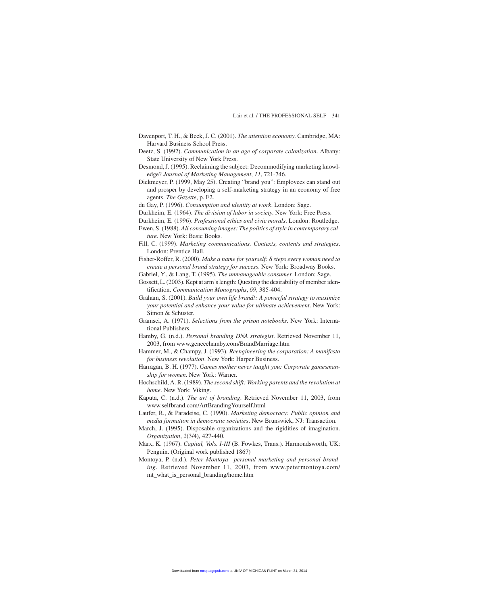- Davenport, T. H., & Beck, J. C. (2001). *The attention economy*. Cambridge, MA: Harvard Business School Press.
- Deetz, S. (1992). *Communication in an age of corporate colonization*. Albany: State University of New York Press.
- Desmond, J. (1995). Reclaiming the subject: Decommodifying marketing knowledge? *Journal of Marketing Management*, *11*, 721-746.
- Diekmeyer, P. (1999, May 25). Creating "brand you": Employees can stand out and prosper by developing a self-marketing strategy in an economy of free agents. *The Gazette*, p. F2.
- du Gay, P. (1996). *Consumption and identity at work*. London: Sage.
- Durkheim, E. (1964). *The division of labor in society*. New York: Free Press.
- Durkheim, E. (1996). *Professional ethics and civic morals*. London: Routledge.
- Ewen, S. (1988). *All consuming images: The politics of style in contemporary culture*. New York: Basic Books.
- Fill, C. (1999). *Marketing communications. Contexts, contents and strategies*. London: Prentice Hall.
- Fisher-Roffer, R. (2000). *Make a name for yourself: 8 steps every woman need to create a personal brand strategy for success*. New York: Broadway Books.
- Gabriel, Y., & Lang, T. (1995). *The unmanageable consumer*. London: Sage.
- Gossett, L. (2003). Kept at arm's length: Questing the desirability of member identification. *Communication Monographs*, *69*, 385-404.
- Graham, S. (2001). *Build your own life brand!: A powerful strategy to maximize your potential and enhance your value for ultimate achievement*. New York: Simon & Schuster.
- Gramsci, A. (1971). *Selections from the prison notebooks*. New York: International Publishers.
- Hamby, G. (n.d.). *Personal branding DNA strategist*. Retrieved November 11, 2003, from www.genecehamby.com/BrandMarriage.htm
- Hammer, M., & Champy, J. (1993). *Reengineering the corporation: A manifesto for business revolution*. New York: Harper Business.
- Harragan, B. H. (1977). *Games mother never taught you: Corporate gamesmanship for women*. New York: Warner.
- Hochschild, A. R. (1989). *The second shift: Working parents and the revolution at home*. New York: Viking.
- Kaputa, C. (n.d.). *The art of branding*. Retrieved November 11, 2003, from www.selfbrand.com/ArtBrandingYourself.html
- Laufer, R., & Paradeise, C. (1990). *Marketing democracy: Public opinion and media formation in democratic societies*. New Brunswick, NJ: Transaction.
- March, J. (1995). Disposable organizations and the rigidities of imagination. *Organization*, *2*(3/4), 427-440.
- Marx, K. (1967). *Capital, Vols. I-III* (B. Fowkes, Trans.). Harmondsworth, UK: Penguin. (Original work published 1867)
- Montoya, P. (n.d.). *Peter Montoya—personal marketing and personal branding*. Retrieved November 11, 2003, from www.petermontoya.com/ mt\_what\_is\_personal\_branding/home.htm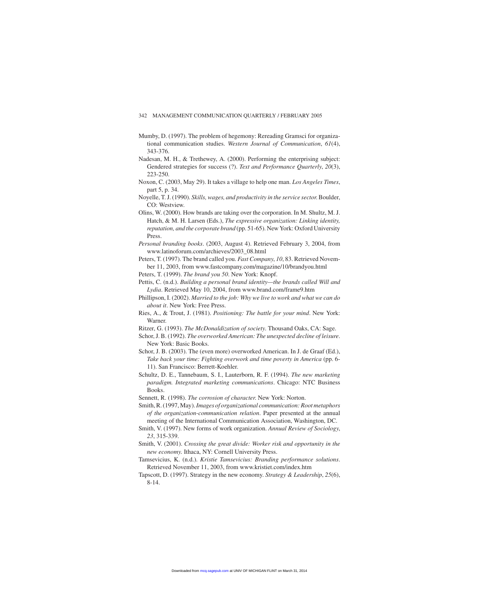- Mumby, D. (1997). The problem of hegemony: Rereading Gramsci for organizational communication studies. *Western Journal of Communication*, *61*(4), 343-376.
- Nadesan, M. H., & Trethewey, A. (2000). Performing the enterprising subject: Gendered strategies for success (?). *Text and Performance Quarterly*, *20*(3), 223-250.
- Noxon, C. (2003, May 29). It takes a village to help one man. *Los Angeles Times*, part 5, p. 34.
- Noyelle, T. J. (1990). *Skills, wages, and productivity in the service sector*. Boulder, CO: Westview.
- Olins, W. (2000). How brands are taking over the corporation. In M. Shultz, M. J. Hatch, & M. H. Larsen (Eds.), *The expressive organization: Linking identity, reputation, and the corporate brand* (pp. 51-65). New York: Oxford University Press.
- *Personal branding books*. (2003, August 4). Retrieved February 3, 2004, from www.latinoforum.com/archieves/2003\_08.html
- Peters, T. (1997). The brand called you. *Fast Company*, *10*, 83. Retrieved November 11, 2003, from www.fastcompany.com/magazine/10/brandyou.html
- Peters, T. (1999). *The brand you 50*. New York: Knopf.
- Pettis, C. (n.d.). *Building a personal brand identity—the brands called Will and Lydia*. Retrieved May 10, 2004, from www.brand.com/frame9.htm
- Phillipson, I. (2002). *Married to the job: Why we live to work and what we can do about it*. New York: Free Press.
- Ries, A., & Trout, J. (1981). *Positioning: The battle for your mind*. New York: Warner.
- Ritzer, G. (1993). *The McDonaldization of society*. Thousand Oaks, CA: Sage.
- Schor, J. B. (1992). *The overworked American: The unexpected decline of leisure*. New York: Basic Books.
- Schor, J. B. (2003). The (even more) overworked American. In J. de Graaf (Ed.), *Take back your time: Fighting overwork and time poverty in America* (pp. 6- 11). San Francisco: Berrett-Koehler.
- Schultz, D. E., Tannebaum, S. I., Lauterborn, R. F. (1994). *The new marketing paradigm. Integrated marketing communications*. Chicago: NTC Business Books.
- Sennett, R. (1998). *The corrosion of character*. New York: Norton.
- Smith, R. (1997, May).*Images of organizational communication: Root metaphors of the organization-communication relation*. Paper presented at the annual meeting of the International Communication Association, Washington, DC.
- Smith, V. (1997). New forms of work organization. *Annual Review of Sociology*, *23*, 315-339.
- Smith, V. (2001). *Crossing the great divide: Worker risk and opportunity in the new economy*. Ithaca, NY: Cornell University Press.
- Tamsevicius, K. (n.d.). *Kristie Tamsevicius: Branding performance solutions*. Retrieved November 11, 2003, from www.kristiet.com/index.htm
- Tapscott, D. (1997). Strategy in the new economy. *Strategy & Leadership*, *25*(6), 8-14.